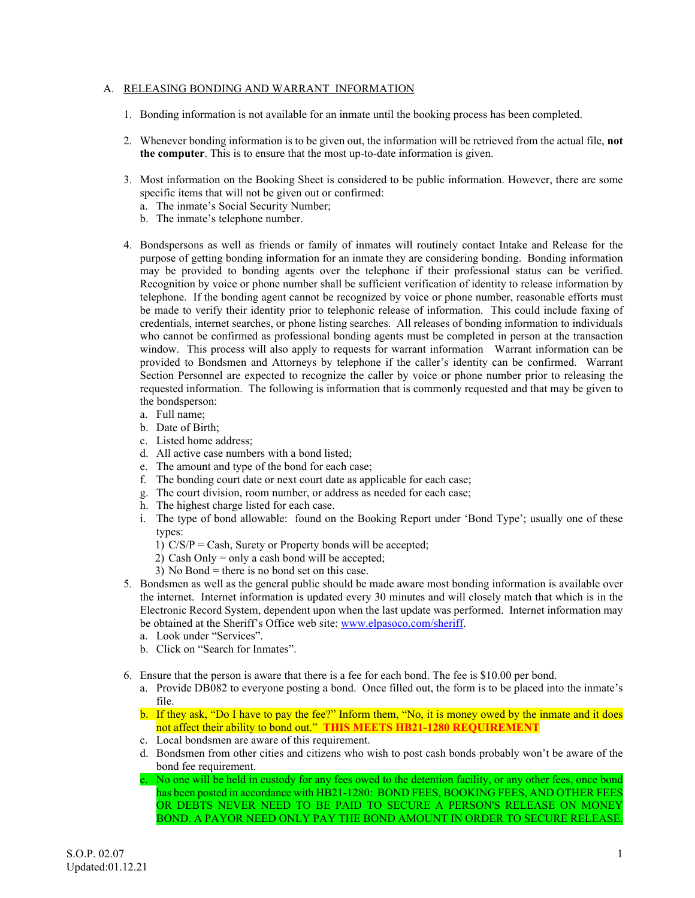#### A. RELEASING BONDING AND WARRANT INFORMATION

- 1. Bonding information is not available for an inmate until the booking process has been completed.
- 2. Whenever bonding information is to be given out, the information will be retrieved from the actual file, **not the computer**. This is to ensure that the most up-to-date information is given.
- 3. Most information on the Booking Sheet is considered to be public information. However, there are some specific items that will not be given out or confirmed:
	- a. The inmate's Social Security Number;
	- b. The inmate's telephone number.
- 4. Bondspersons as well as friends or family of inmates will routinely contact Intake and Release for the purpose of getting bonding information for an inmate they are considering bonding. Bonding information may be provided to bonding agents over the telephone if their professional status can be verified. Recognition by voice or phone number shall be sufficient verification of identity to release information by telephone. If the bonding agent cannot be recognized by voice or phone number, reasonable efforts must be made to verify their identity prior to telephonic release of information. This could include faxing of credentials, internet searches, or phone listing searches. All releases of bonding information to individuals who cannot be confirmed as professional bonding agents must be completed in person at the transaction window. This process will also apply to requests for warrant information Warrant information can be provided to Bondsmen and Attorneys by telephone if the caller's identity can be confirmed. Warrant Section Personnel are expected to recognize the caller by voice or phone number prior to releasing the requested information. The following is information that is commonly requested and that may be given to the bondsperson:
	- a. Full name;
	- b. Date of Birth;
	- c. Listed home address;
	- d. All active case numbers with a bond listed;
	- e. The amount and type of the bond for each case;
	- f. The bonding court date or next court date as applicable for each case;
	- g. The court division, room number, or address as needed for each case;
	- h. The highest charge listed for each case.
	- i. The type of bond allowable: found on the Booking Report under 'Bond Type'; usually one of these types:
		- 1)  $C/S/P = Cash$ , Surety or Property bonds will be accepted;
		- 2) Cash Only = only a cash bond will be accepted;
		- 3) No Bond = there is no bond set on this case.
- 5. Bondsmen as well as the general public should be made aware most bonding information is available over the internet. Internet information is updated every 30 minutes and will closely match that which is in the Electronic Record System, dependent upon when the last update was performed. Internet information may be obtained at the Sheriff's Office web site: www.elpasoco.com/sheriff.
	- a. Look under "Services".
	- b. Click on "Search for Inmates".
- 6. Ensure that the person is aware that there is a fee for each bond. The fee is \$10.00 per bond.
	- a. Provide DB082 to everyone posting a bond. Once filled out, the form is to be placed into the inmate's file.
	- b. If they ask, "Do I have to pay the fee?" Inform them, "No, it is money owed by the inmate and it does not affect their ability to bond out." **THIS MEETS HB21-1280 REQUIREMENT**
	- c. Local bondsmen are aware of this requirement.
	- d. Bondsmen from other cities and citizens who wish to post cash bonds probably won't be aware of the bond fee requirement.
	- e. No one will be held in custody for any fees owed to the detention facility, or any other fees, once bond has been posted in accordance with HB21-1280: BOND FEES, BOOKING FEES, AND OTHER FEES OR DEBTS NEVER NEED TO BE PAID TO SECURE A PERSON'S RELEASE ON MONEY BOND. A PAYOR NEED ONLY PAY THE BOND AMOUNT IN ORDER TO SECURE RELEASE.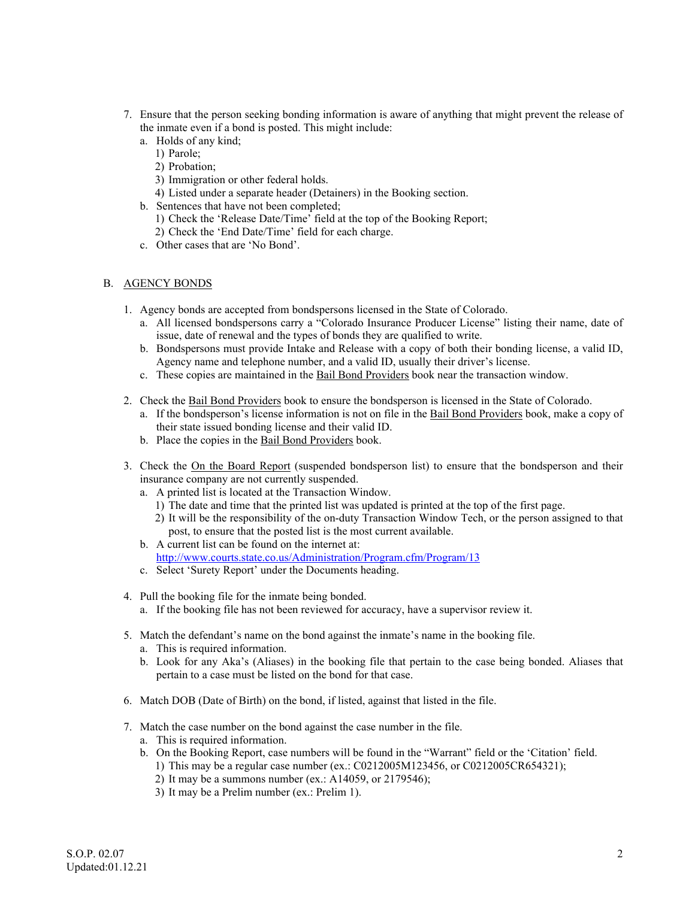- 7. Ensure that the person seeking bonding information is aware of anything that might prevent the release of the inmate even if a bond is posted. This might include:
	- a. Holds of any kind;
		- 1) Parole;
		- 2) Probation;
		- 3) Immigration or other federal holds.
		- 4) Listed under a separate header (Detainers) in the Booking section.
	- b. Sentences that have not been completed;
		- 1) Check the 'Release Date/Time' field at the top of the Booking Report;
		- 2) Check the 'End Date/Time' field for each charge.
	- c. Other cases that are 'No Bond'.

## B. AGENCY BONDS

- 1. Agency bonds are accepted from bondspersons licensed in the State of Colorado.
	- a. All licensed bondspersons carry a "Colorado Insurance Producer License" listing their name, date of issue, date of renewal and the types of bonds they are qualified to write.
	- b. Bondspersons must provide Intake and Release with a copy of both their bonding license, a valid ID, Agency name and telephone number, and a valid ID, usually their driver's license.
	- c. These copies are maintained in the Bail Bond Providers book near the transaction window.
- 2. Check the Bail Bond Providers book to ensure the bondsperson is licensed in the State of Colorado.
	- a. If the bondsperson's license information is not on file in the Bail Bond Providers book, make a copy of their state issued bonding license and their valid ID.
	- b. Place the copies in the Bail Bond Providers book.
- 3. Check the On the Board Report (suspended bondsperson list) to ensure that the bondsperson and their insurance company are not currently suspended.
	- a. A printed list is located at the Transaction Window.
		- 1) The date and time that the printed list was updated is printed at the top of the first page.
		- 2) It will be the responsibility of the on-duty Transaction Window Tech, or the person assigned to that post, to ensure that the posted list is the most current available.
	- b. A current list can be found on the internet at: http://www.courts.state.co.us/Administration/Program.cfm/Program/13
	- c. Select 'Surety Report' under the Documents heading.
- 4. Pull the booking file for the inmate being bonded.
	- a. If the booking file has not been reviewed for accuracy, have a supervisor review it.
- 5. Match the defendant's name on the bond against the inmate's name in the booking file.
	- a. This is required information.
	- b. Look for any Aka's (Aliases) in the booking file that pertain to the case being bonded. Aliases that pertain to a case must be listed on the bond for that case.
- 6. Match DOB (Date of Birth) on the bond, if listed, against that listed in the file.
- 7. Match the case number on the bond against the case number in the file.
	- a. This is required information.
	- b. On the Booking Report, case numbers will be found in the "Warrant" field or the 'Citation' field. 1) This may be a regular case number (ex.: C0212005M123456, or C0212005CR654321);
		- 2) It may be a summons number (ex.: A14059, or 2179546);
		- 3) It may be a Prelim number (ex.: Prelim 1).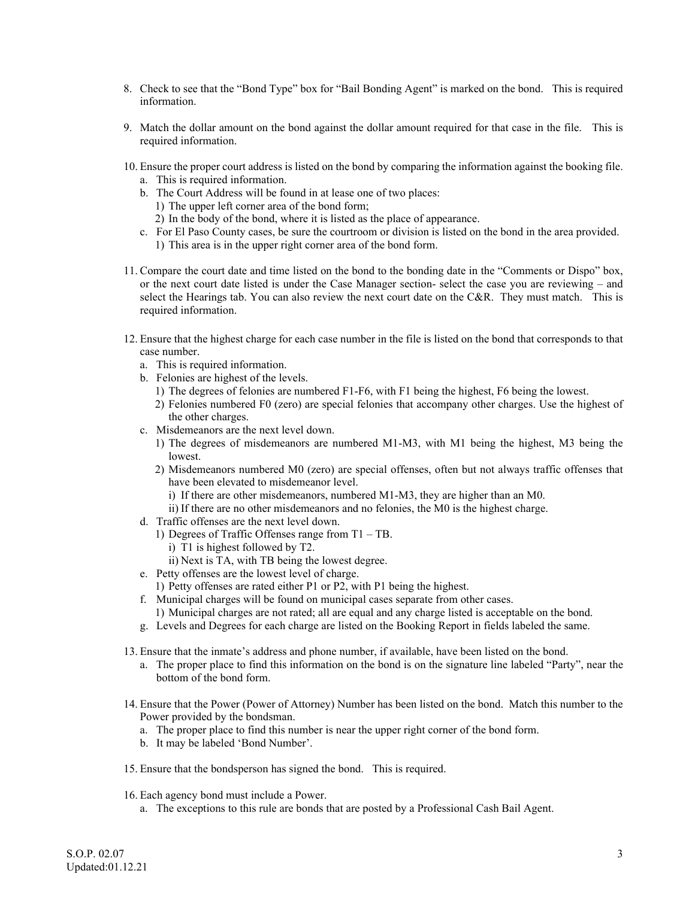- 8. Check to see that the "Bond Type" box for "Bail Bonding Agent" is marked on the bond. This is required information.
- 9. Match the dollar amount on the bond against the dollar amount required for that case in the file. This is required information.
- 10. Ensure the proper court address is listed on the bond by comparing the information against the booking file.
	- a. This is required information.
	- b. The Court Address will be found in at lease one of two places:
		- 1) The upper left corner area of the bond form;
	- 2) In the body of the bond, where it is listed as the place of appearance.
	- c. For El Paso County cases, be sure the courtroom or division is listed on the bond in the area provided. 1) This area is in the upper right corner area of the bond form.
- 11. Compare the court date and time listed on the bond to the bonding date in the "Comments or Dispo" box, or the next court date listed is under the Case Manager section- select the case you are reviewing – and select the Hearings tab. You can also review the next court date on the C&R. They must match. This is required information.
- 12. Ensure that the highest charge for each case number in the file is listed on the bond that corresponds to that case number.
	- a. This is required information.
	- b. Felonies are highest of the levels.
		- 1) The degrees of felonies are numbered F1-F6, with F1 being the highest, F6 being the lowest.
		- 2) Felonies numbered F0 (zero) are special felonies that accompany other charges. Use the highest of the other charges.
	- c. Misdemeanors are the next level down.
		- 1) The degrees of misdemeanors are numbered M1-M3, with M1 being the highest, M3 being the lowest.
		- 2) Misdemeanors numbered M0 (zero) are special offenses, often but not always traffic offenses that have been elevated to misdemeanor level.
			- i) If there are other misdemeanors, numbered M1-M3, they are higher than an M0.
			- ii) If there are no other misdemeanors and no felonies, the M0 is the highest charge.
	- d. Traffic offenses are the next level down.
		- 1) Degrees of Traffic Offenses range from T1 TB.
			- i) T1 is highest followed by T2.
		- ii) Next is TA, with TB being the lowest degree.
	- e. Petty offenses are the lowest level of charge.
		- 1) Petty offenses are rated either P1 or P2, with P1 being the highest.
	- f. Municipal charges will be found on municipal cases separate from other cases.
	- 1) Municipal charges are not rated; all are equal and any charge listed is acceptable on the bond.
	- g. Levels and Degrees for each charge are listed on the Booking Report in fields labeled the same.
- 13. Ensure that the inmate's address and phone number, if available, have been listed on the bond.
	- a. The proper place to find this information on the bond is on the signature line labeled "Party", near the bottom of the bond form.
- 14. Ensure that the Power (Power of Attorney) Number has been listed on the bond. Match this number to the Power provided by the bondsman.
	- a. The proper place to find this number is near the upper right corner of the bond form.
	- b. It may be labeled 'Bond Number'.
- 15. Ensure that the bondsperson has signed the bond. This is required.
- 16. Each agency bond must include a Power.
	- a. The exceptions to this rule are bonds that are posted by a Professional Cash Bail Agent.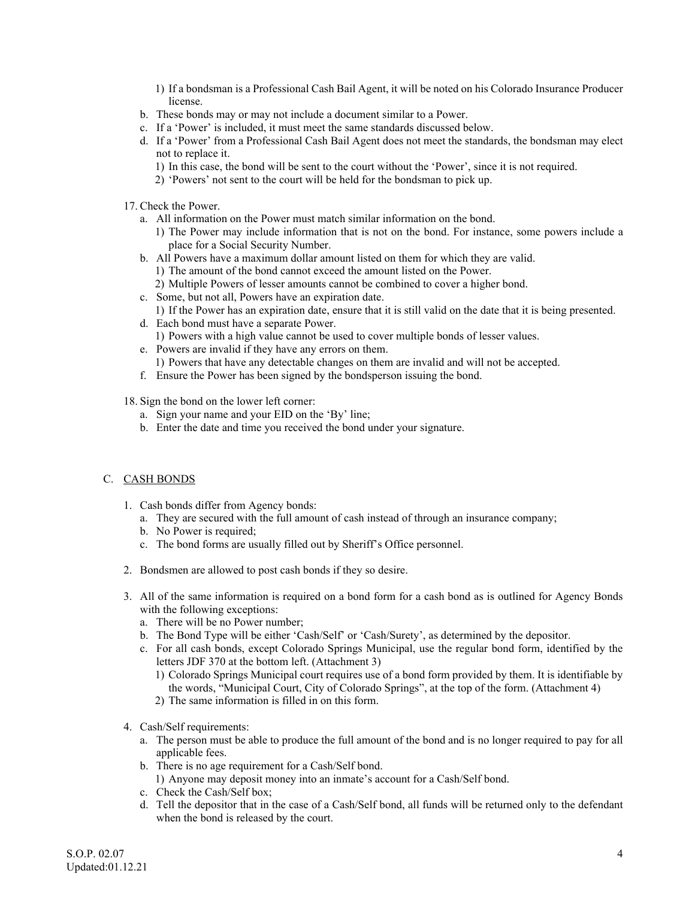- 1) If a bondsman is a Professional Cash Bail Agent, it will be noted on his Colorado Insurance Producer license.
- b. These bonds may or may not include a document similar to a Power.
- c. If a 'Power' is included, it must meet the same standards discussed below.
- d. If a 'Power' from a Professional Cash Bail Agent does not meet the standards, the bondsman may elect not to replace it.
	- 1) In this case, the bond will be sent to the court without the 'Power', since it is not required.
	- 2) 'Powers' not sent to the court will be held for the bondsman to pick up.
- 17. Check the Power.
	- a. All information on the Power must match similar information on the bond.
		- 1) The Power may include information that is not on the bond. For instance, some powers include a place for a Social Security Number.
	- b. All Powers have a maximum dollar amount listed on them for which they are valid.
		- 1) The amount of the bond cannot exceed the amount listed on the Power.
		- 2) Multiple Powers of lesser amounts cannot be combined to cover a higher bond.
	- c. Some, but not all, Powers have an expiration date.
	- 1) If the Power has an expiration date, ensure that it is still valid on the date that it is being presented. d. Each bond must have a separate Power.
		- 1) Powers with a high value cannot be used to cover multiple bonds of lesser values.
	- e. Powers are invalid if they have any errors on them.
		- 1) Powers that have any detectable changes on them are invalid and will not be accepted.
	- f. Ensure the Power has been signed by the bondsperson issuing the bond.
- 18. Sign the bond on the lower left corner:
	- a. Sign your name and your EID on the 'By' line;
	- b. Enter the date and time you received the bond under your signature.

### C. CASH BONDS

- 1. Cash bonds differ from Agency bonds:
	- a. They are secured with the full amount of cash instead of through an insurance company;
	- b. No Power is required;
	- c. The bond forms are usually filled out by Sheriff's Office personnel.
- 2. Bondsmen are allowed to post cash bonds if they so desire.
- 3. All of the same information is required on a bond form for a cash bond as is outlined for Agency Bonds with the following exceptions:
	- a. There will be no Power number;
	- b. The Bond Type will be either 'Cash/Self' or 'Cash/Surety', as determined by the depositor.
	- c. For all cash bonds, except Colorado Springs Municipal, use the regular bond form, identified by the letters JDF 370 at the bottom left. (Attachment 3)
		- 1) Colorado Springs Municipal court requires use of a bond form provided by them. It is identifiable by the words, "Municipal Court, City of Colorado Springs", at the top of the form. (Attachment 4)
		- 2) The same information is filled in on this form.
- 4. Cash/Self requirements:
	- a. The person must be able to produce the full amount of the bond and is no longer required to pay for all applicable fees.
	- b. There is no age requirement for a Cash/Self bond.
		- 1) Anyone may deposit money into an inmate's account for a Cash/Self bond.
	- c. Check the Cash/Self box;
	- d. Tell the depositor that in the case of a Cash/Self bond, all funds will be returned only to the defendant when the bond is released by the court.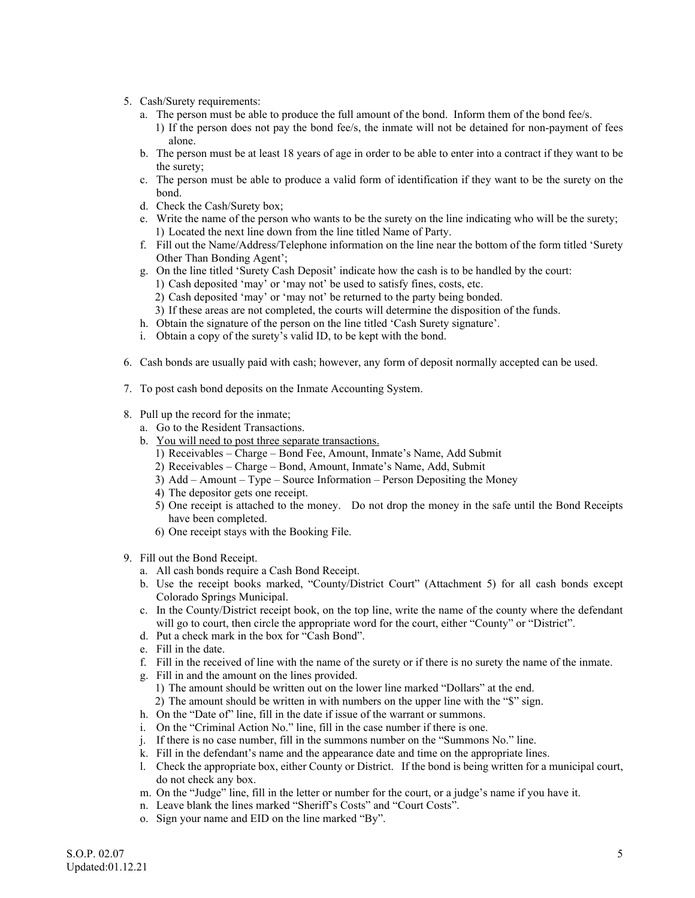- 5. Cash/Surety requirements:
	- a. The person must be able to produce the full amount of the bond. Inform them of the bond fee/s.
		- 1) If the person does not pay the bond fee/s, the inmate will not be detained for non-payment of fees alone.
	- b. The person must be at least 18 years of age in order to be able to enter into a contract if they want to be the surety;
	- c. The person must be able to produce a valid form of identification if they want to be the surety on the bond.
	- d. Check the Cash/Surety box;
	- e. Write the name of the person who wants to be the surety on the line indicating who will be the surety; 1) Located the next line down from the line titled Name of Party.
	- f. Fill out the Name/Address/Telephone information on the line near the bottom of the form titled 'Surety Other Than Bonding Agent';
	- g. On the line titled 'Surety Cash Deposit' indicate how the cash is to be handled by the court:
		- 1) Cash deposited 'may' or 'may not' be used to satisfy fines, costs, etc.
		- 2) Cash deposited 'may' or 'may not' be returned to the party being bonded.
		- 3) If these areas are not completed, the courts will determine the disposition of the funds.
	- h. Obtain the signature of the person on the line titled 'Cash Surety signature'.
	- i. Obtain a copy of the surety's valid ID, to be kept with the bond.
- 6. Cash bonds are usually paid with cash; however, any form of deposit normally accepted can be used.
- 7. To post cash bond deposits on the Inmate Accounting System.
- 8. Pull up the record for the inmate;
	- a. Go to the Resident Transactions.
	- b. You will need to post three separate transactions.
		- 1) Receivables Charge Bond Fee, Amount, Inmate's Name, Add Submit
		- 2) Receivables Charge Bond, Amount, Inmate's Name, Add, Submit
		- 3) Add Amount Type Source Information Person Depositing the Money
		- 4) The depositor gets one receipt.
		- 5) One receipt is attached to the money. Do not drop the money in the safe until the Bond Receipts have been completed.
		- 6) One receipt stays with the Booking File.
- 9. Fill out the Bond Receipt.
	- a. All cash bonds require a Cash Bond Receipt.
	- b. Use the receipt books marked, "County/District Court" (Attachment 5) for all cash bonds except Colorado Springs Municipal.
	- c. In the County/District receipt book, on the top line, write the name of the county where the defendant will go to court, then circle the appropriate word for the court, either "County" or "District".
	- d. Put a check mark in the box for "Cash Bond".
	- e. Fill in the date.
	- f. Fill in the received of line with the name of the surety or if there is no surety the name of the inmate.
	- g. Fill in and the amount on the lines provided.
		- 1) The amount should be written out on the lower line marked "Dollars" at the end.
		- 2) The amount should be written in with numbers on the upper line with the "\$" sign.
	- h. On the "Date of" line, fill in the date if issue of the warrant or summons.
	- i. On the "Criminal Action No." line, fill in the case number if there is one.
	- j. If there is no case number, fill in the summons number on the "Summons No." line.
	- k. Fill in the defendant's name and the appearance date and time on the appropriate lines.
	- l. Check the appropriate box, either County or District. If the bond is being written for a municipal court, do not check any box.
	- m. On the "Judge" line, fill in the letter or number for the court, or a judge's name if you have it.
	- n. Leave blank the lines marked "Sheriff's Costs" and "Court Costs".
	- o. Sign your name and EID on the line marked "By".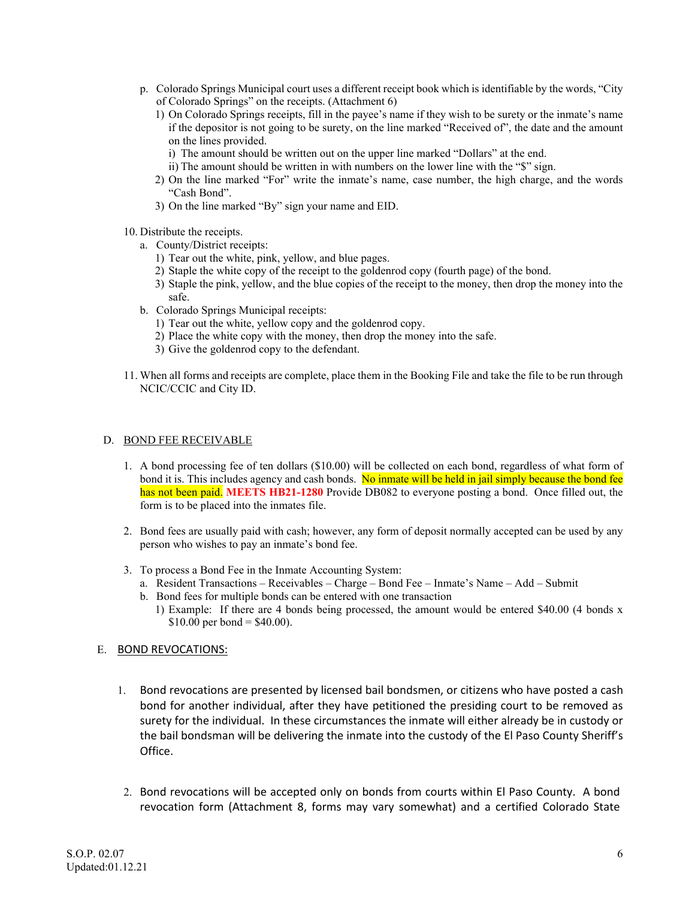- p. Colorado Springs Municipal court uses a different receipt book which is identifiable by the words, "City of Colorado Springs" on the receipts. (Attachment 6)
	- 1) On Colorado Springs receipts, fill in the payee's name if they wish to be surety or the inmate's name if the depositor is not going to be surety, on the line marked "Received of", the date and the amount on the lines provided.
		- i) The amount should be written out on the upper line marked "Dollars" at the end.
		- ii) The amount should be written in with numbers on the lower line with the "\$" sign.
	- 2) On the line marked "For" write the inmate's name, case number, the high charge, and the words "Cash Bond".
	- 3) On the line marked "By" sign your name and EID.
- 10. Distribute the receipts.
	- a. County/District receipts:
		- 1) Tear out the white, pink, yellow, and blue pages.
		- 2) Staple the white copy of the receipt to the goldenrod copy (fourth page) of the bond.
		- 3) Staple the pink, yellow, and the blue copies of the receipt to the money, then drop the money into the safe.
	- b. Colorado Springs Municipal receipts:
		- 1) Tear out the white, yellow copy and the goldenrod copy.
		- 2) Place the white copy with the money, then drop the money into the safe.
		- 3) Give the goldenrod copy to the defendant.
- 11. When all forms and receipts are complete, place them in the Booking File and take the file to be run through NCIC/CCIC and City ID.

## D. BOND FEE RECEIVABLE

- 1. A bond processing fee of ten dollars (\$10.00) will be collected on each bond, regardless of what form of bond it is. This includes agency and cash bonds. No inmate will be held in jail simply because the bond fee has not been paid. **MEETS HB21-1280** Provide DB082 to everyone posting a bond. Once filled out, the form is to be placed into the inmates file.
- 2. Bond fees are usually paid with cash; however, any form of deposit normally accepted can be used by any person who wishes to pay an inmate's bond fee.
- 3. To process a Bond Fee in the Inmate Accounting System:
	- a. Resident Transactions Receivables Charge Bond Fee Inmate's Name Add Submit
	- b. Bond fees for multiple bonds can be entered with one transaction
		- 1) Example: If there are 4 bonds being processed, the amount would be entered \$40.00 (4 bonds x  $$10.00$  per bond = \$40.00).

# E. BOND REVOCATIONS:

- 1. Bond revocations are presented by licensed bail bondsmen, or citizens who have posted a cash bond for another individual, after they have petitioned the presiding court to be removed as surety for the individual. In these circumstances the inmate will either already be in custody or the bail bondsman will be delivering the inmate into the custody of the El Paso County Sheriff's Office.
- 2. Bond revocations will be accepted only on bonds from courts within El Paso County. A bond revocation form (Attachment 8, forms may vary somewhat) and a certified Colorado State